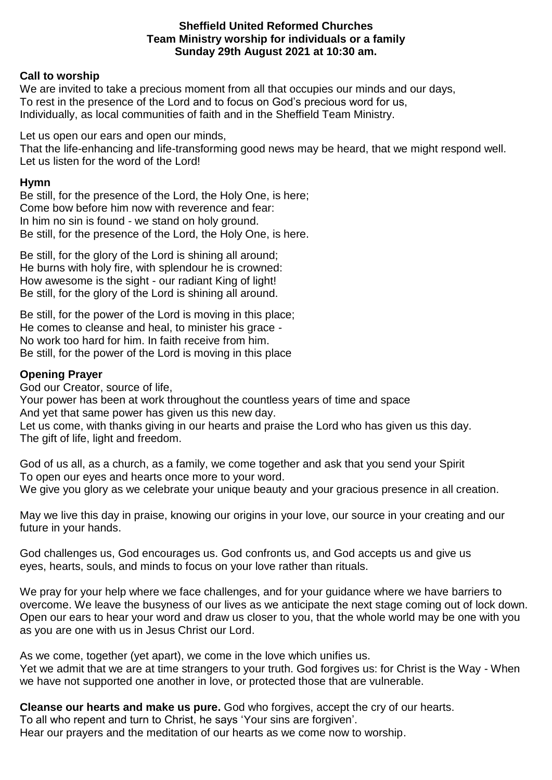# **Sheffield United Reformed Churches Team Ministry worship for individuals or a family Sunday 29th August 2021 at 10:30 am.**

# **Call to worship**

We are invited to take a precious moment from all that occupies our minds and our days, To rest in the presence of the Lord and to focus on God's precious word for us, Individually, as local communities of faith and in the Sheffield Team Ministry.

Let us open our ears and open our minds,

That the life-enhancing and life-transforming good news may be heard, that we might respond well. Let us listen for the word of the Lord!

### **Hymn**

Be still, for the presence of the Lord, the Holy One, is here; Come bow before him now with reverence and fear: In him no sin is found - we stand on holy ground. Be still, for the presence of the Lord, the Holy One, is here.

Be still, for the glory of the Lord is shining all around; He burns with holy fire, with splendour he is crowned: How awesome is the sight - our radiant King of light! Be still, for the glory of the Lord is shining all around.

Be still, for the power of the Lord is moving in this place; He comes to cleanse and heal, to minister his grace - No work too hard for him. In faith receive from him. Be still, for the power of the Lord is moving in this place

# **Opening Prayer**

God our Creator, source of life,

Your power has been at work throughout the countless years of time and space And yet that same power has given us this new day. Let us come, with thanks giving in our hearts and praise the Lord who has given us this day.

The gift of life, light and freedom.

God of us all, as a church, as a family, we come together and ask that you send your Spirit To open our eyes and hearts once more to your word. We give you glory as we celebrate your unique beauty and your gracious presence in all creation.

May we live this day in praise, knowing our origins in your love, our source in your creating and our future in your hands.

God challenges us, God encourages us. God confronts us, and God accepts us and give us eyes, hearts, souls, and minds to focus on your love rather than rituals.

We pray for your help where we face challenges, and for your guidance where we have barriers to overcome. We leave the busyness of our lives as we anticipate the next stage coming out of lock down. Open our ears to hear your word and draw us closer to you, that the whole world may be one with you as you are one with us in Jesus Christ our Lord.

As we come, together (yet apart), we come in the love which unifies us. Yet we admit that we are at time strangers to your truth. God forgives us: for Christ is the Way - When we have not supported one another in love, or protected those that are vulnerable.

**Cleanse our hearts and make us pure.** God who forgives, accept the cry of our hearts.

To all who repent and turn to Christ, he says 'Your sins are forgiven'.

Hear our prayers and the meditation of our hearts as we come now to worship.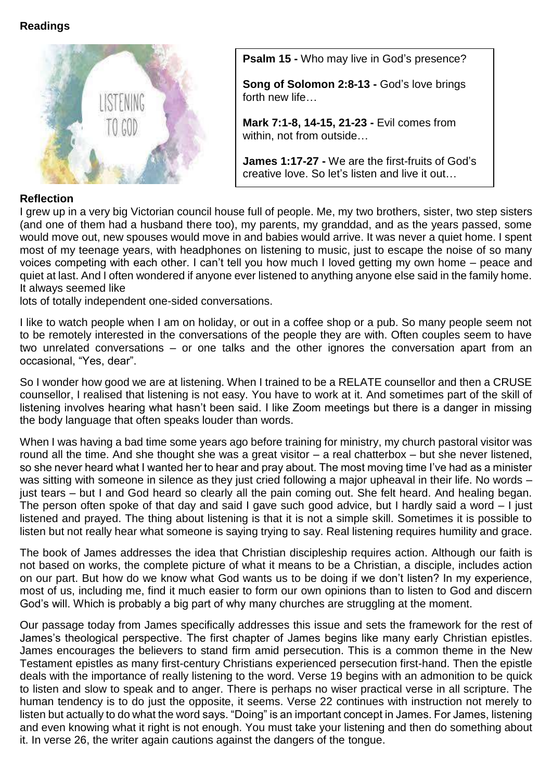# **Readings**



**Psalm 15 -** Who may live in God's presence?

**Song of Solomon 2:8-13 -** God's love brings forth new life…

**Mark 7:1-8, 14-15, 21-23 -** Evil comes from within, not from outside…

**James 1:17-27 -** We are the first-fruits of God's creative love. So let's listen and live it out…

# **Reflection**

I grew up in a very big Victorian council house full of people. Me, my two brothers, sister, two step sisters (and one of them had a husband there too), my parents, my granddad, and as the years passed, some would move out, new spouses would move in and babies would arrive. It was never a quiet home. I spent most of my teenage years, with headphones on listening to music, just to escape the noise of so many voices competing with each other. I can't tell you how much I loved getting my own home – peace and quiet at last. And I often wondered if anyone ever listened to anything anyone else said in the family home. It always seemed like

lots of totally independent one-sided conversations.

I like to watch people when I am on holiday, or out in a coffee shop or a pub. So many people seem not to be remotely interested in the conversations of the people they are with. Often couples seem to have two unrelated conversations – or one talks and the other ignores the conversation apart from an occasional, "Yes, dear".

So I wonder how good we are at listening. When I trained to be a RELATE counsellor and then a CRUSE counsellor, I realised that listening is not easy. You have to work at it. And sometimes part of the skill of listening involves hearing what hasn't been said. I like Zoom meetings but there is a danger in missing the body language that often speaks louder than words.

When I was having a bad time some years ago before training for ministry, my church pastoral visitor was round all the time. And she thought she was a great visitor – a real chatterbox – but she never listened, so she never heard what I wanted her to hear and pray about. The most moving time I've had as a minister was sitting with someone in silence as they just cried following a major upheaval in their life. No words – just tears – but I and God heard so clearly all the pain coming out. She felt heard. And healing began. The person often spoke of that day and said I gave such good advice, but I hardly said a word – I just listened and prayed. The thing about listening is that it is not a simple skill. Sometimes it is possible to listen but not really hear what someone is saying trying to say. Real listening requires humility and grace.

The book of James addresses the idea that Christian discipleship requires action. Although our faith is not based on works, the complete picture of what it means to be a Christian, a disciple, includes action on our part. But how do we know what God wants us to be doing if we don't listen? In my experience, most of us, including me, find it much easier to form our own opinions than to listen to God and discern God's will. Which is probably a big part of why many churches are struggling at the moment.

Our passage today from James specifically addresses this issue and sets the framework for the rest of James's theological perspective. The first chapter of James begins like many early Christian epistles. James encourages the believers to stand firm amid persecution. This is a common theme in the New Testament epistles as many first-century Christians experienced persecution first-hand. Then the epistle deals with the importance of really listening to the word. Verse 19 begins with an admonition to be quick to listen and slow to speak and to anger. There is perhaps no wiser practical verse in all scripture. The human tendency is to do just the opposite, it seems. Verse 22 continues with instruction not merely to listen but actually to do what the word says. "Doing" is an important concept in James. For James, listening and even knowing what it right is not enough. You must take your listening and then do something about it. In verse 26, the writer again cautions against the dangers of the tongue.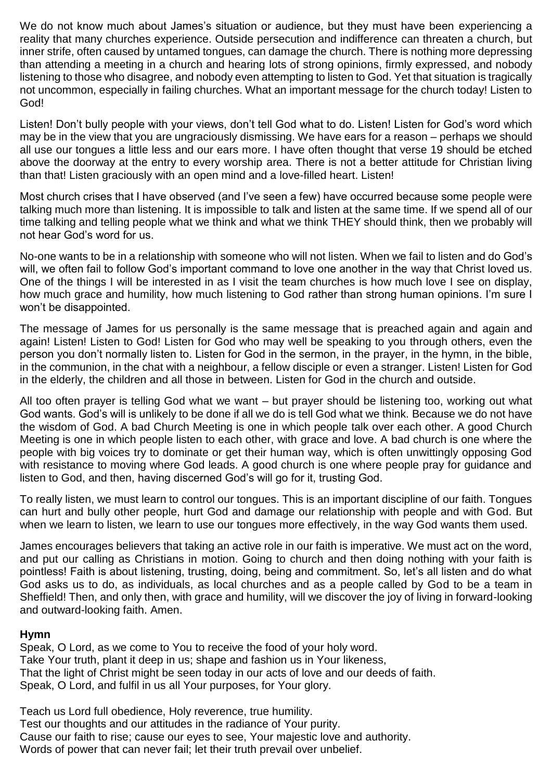We do not know much about James's situation or audience, but they must have been experiencing a reality that many churches experience. Outside persecution and indifference can threaten a church, but inner strife, often caused by untamed tongues, can damage the church. There is nothing more depressing than attending a meeting in a church and hearing lots of strong opinions, firmly expressed, and nobody listening to those who disagree, and nobody even attempting to listen to God. Yet that situation is tragically not uncommon, especially in failing churches. What an important message for the church today! Listen to God!

Listen! Don't bully people with your views, don't tell God what to do. Listen! Listen for God's word which may be in the view that you are ungraciously dismissing. We have ears for a reason – perhaps we should all use our tongues a little less and our ears more. I have often thought that verse 19 should be etched above the doorway at the entry to every worship area. There is not a better attitude for Christian living than that! Listen graciously with an open mind and a love-filled heart. Listen!

Most church crises that I have observed (and I've seen a few) have occurred because some people were talking much more than listening. It is impossible to talk and listen at the same time. If we spend all of our time talking and telling people what we think and what we think THEY should think, then we probably will not hear God's word for us.

No-one wants to be in a relationship with someone who will not listen. When we fail to listen and do God's will, we often fail to follow God's important command to love one another in the way that Christ loved us. One of the things I will be interested in as I visit the team churches is how much love I see on display, how much grace and humility, how much listening to God rather than strong human opinions. I'm sure I won't be disappointed.

The message of James for us personally is the same message that is preached again and again and again! Listen! Listen to God! Listen for God who may well be speaking to you through others, even the person you don't normally listen to. Listen for God in the sermon, in the prayer, in the hymn, in the bible, in the communion, in the chat with a neighbour, a fellow disciple or even a stranger. Listen! Listen for God in the elderly, the children and all those in between. Listen for God in the church and outside.

All too often prayer is telling God what we want – but prayer should be listening too, working out what God wants. God's will is unlikely to be done if all we do is tell God what we think. Because we do not have the wisdom of God. A bad Church Meeting is one in which people talk over each other. A good Church Meeting is one in which people listen to each other, with grace and love. A bad church is one where the people with big voices try to dominate or get their human way, which is often unwittingly opposing God with resistance to moving where God leads. A good church is one where people pray for guidance and listen to God, and then, having discerned God's will go for it, trusting God.

To really listen, we must learn to control our tongues. This is an important discipline of our faith. Tongues can hurt and bully other people, hurt God and damage our relationship with people and with God. But when we learn to listen, we learn to use our tongues more effectively, in the way God wants them used.

James encourages believers that taking an active role in our faith is imperative. We must act on the word, and put our calling as Christians in motion. Going to church and then doing nothing with your faith is pointless! Faith is about listening, trusting, doing, being and commitment. So, let's all listen and do what God asks us to do, as individuals, as local churches and as a people called by God to be a team in Sheffield! Then, and only then, with grace and humility, will we discover the joy of living in forward-looking and outward-looking faith. Amen.

# **Hymn**

Speak, O Lord, as we come to You to receive the food of your holy word. Take Your truth, plant it deep in us; shape and fashion us in Your likeness, That the light of Christ might be seen today in our acts of love and our deeds of faith. Speak, O Lord, and fulfil in us all Your purposes, for Your glory.

Teach us Lord full obedience, Holy reverence, true humility. Test our thoughts and our attitudes in the radiance of Your purity. Cause our faith to rise; cause our eyes to see, Your majestic love and authority. Words of power that can never fail; let their truth prevail over unbelief.